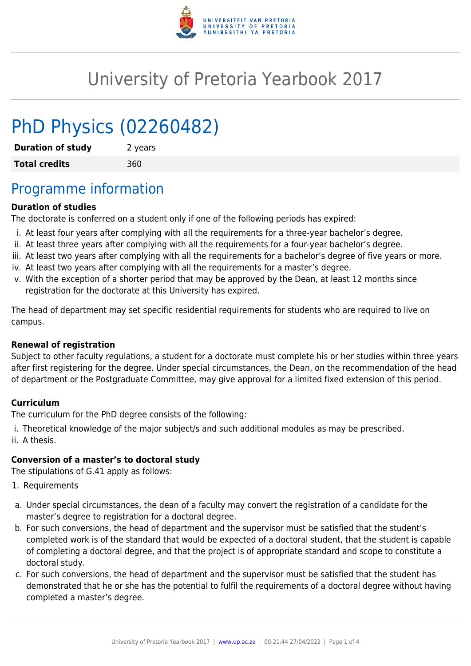

# University of Pretoria Yearbook 2017

# PhD Physics (02260482)

**Duration of study** 2 years **Total credits** 360

## Programme information

#### **Duration of studies**

The doctorate is conferred on a student only if one of the following periods has expired:

- i. At least four years after complying with all the requirements for a three-year bachelor's degree.
- ii. At least three years after complying with all the requirements for a four-year bachelor's degree.
- iii. At least two years after complying with all the requirements for a bachelor's degree of five years or more.
- iv. At least two years after complying with all the requirements for a master's degree.
- v. With the exception of a shorter period that may be approved by the Dean, at least 12 months since registration for the doctorate at this University has expired.

The head of department may set specific residential requirements for students who are required to live on campus.

#### **Renewal of registration**

Subject to other faculty regulations, a student for a doctorate must complete his or her studies within three years after first registering for the degree. Under special circumstances, the Dean, on the recommendation of the head of department or the Postgraduate Committee, may give approval for a limited fixed extension of this period.

#### **Curriculum**

The curriculum for the PhD degree consists of the following:

i. Theoretical knowledge of the major subject/s and such additional modules as may be prescribed. ii. A thesis.

#### **Conversion of a master's to doctoral study**

The stipulations of G.41 apply as follows:

- 1. Requirements
- a. Under special circumstances, the dean of a faculty may convert the registration of a candidate for the master's degree to registration for a doctoral degree.
- b. For such conversions, the head of department and the supervisor must be satisfied that the student's completed work is of the standard that would be expected of a doctoral student, that the student is capable of completing a doctoral degree, and that the project is of appropriate standard and scope to constitute a doctoral study.
- c. For such conversions, the head of department and the supervisor must be satisfied that the student has demonstrated that he or she has the potential to fulfil the requirements of a doctoral degree without having completed a master's degree.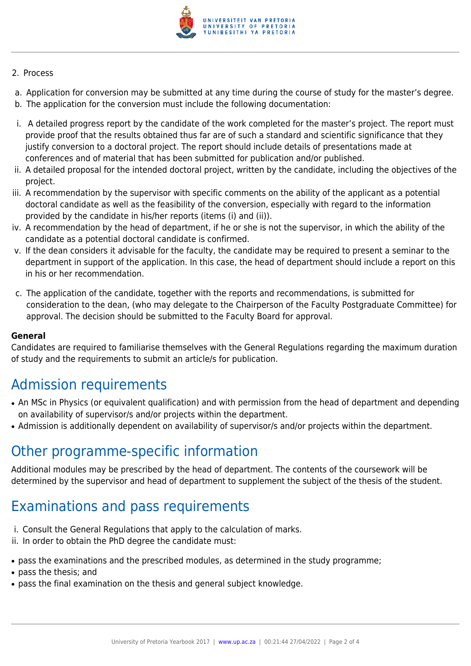

#### 2. Process

- a. Application for conversion may be submitted at any time during the course of study for the master's degree.
- b. The application for the conversion must include the following documentation:
- i. A detailed progress report by the candidate of the work completed for the master's project. The report must provide proof that the results obtained thus far are of such a standard and scientific significance that they justify conversion to a doctoral project. The report should include details of presentations made at conferences and of material that has been submitted for publication and/or published.
- ii. A detailed proposal for the intended doctoral project, written by the candidate, including the objectives of the project.
- iii. A recommendation by the supervisor with specific comments on the ability of the applicant as a potential doctoral candidate as well as the feasibility of the conversion, especially with regard to the information provided by the candidate in his/her reports (items (i) and (ii)).
- iv. A recommendation by the head of department, if he or she is not the supervisor, in which the ability of the candidate as a potential doctoral candidate is confirmed.
- v. If the dean considers it advisable for the faculty, the candidate may be required to present a seminar to the department in support of the application. In this case, the head of department should include a report on this in his or her recommendation.
- c. The application of the candidate, together with the reports and recommendations, is submitted for consideration to the dean, (who may delegate to the Chairperson of the Faculty Postgraduate Committee) for approval. The decision should be submitted to the Faculty Board for approval.

#### **General**

Candidates are required to familiarise themselves with the General Regulations regarding the maximum duration of study and the requirements to submit an article/s for publication.

## Admission requirements

- An MSc in Physics (or equivalent qualification) and with permission from the head of department and depending on availability of supervisor/s and/or projects within the department.
- Admission is additionally dependent on availability of supervisor/s and/or projects within the department.

### Other programme-specific information

Additional modules may be prescribed by the head of department. The contents of the coursework will be determined by the supervisor and head of department to supplement the subject of the thesis of the student.

## Examinations and pass requirements

- i. Consult the General Regulations that apply to the calculation of marks.
- ii. In order to obtain the PhD degree the candidate must:
- pass the examinations and the prescribed modules, as determined in the study programme;
- pass the thesis; and
- pass the final examination on the thesis and general subject knowledge.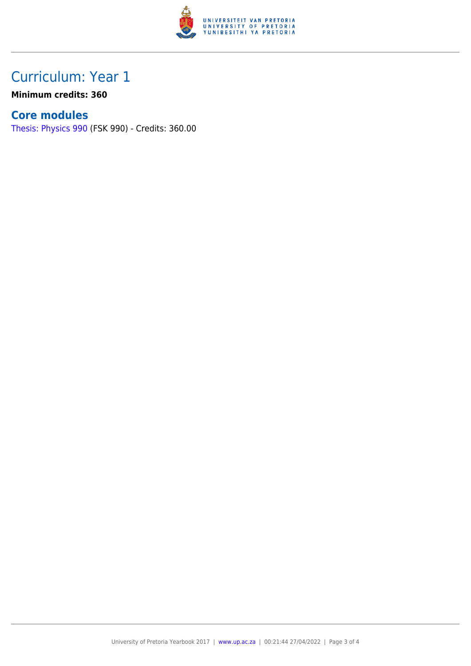

## Curriculum: Year 1

**Minimum credits: 360**

### **Core modules**

[Thesis: Physics 990](https://www.up.ac.za/faculty-of-education/yearbooks/2017/modules/view/FSK 990) (FSK 990) - Credits: 360.00